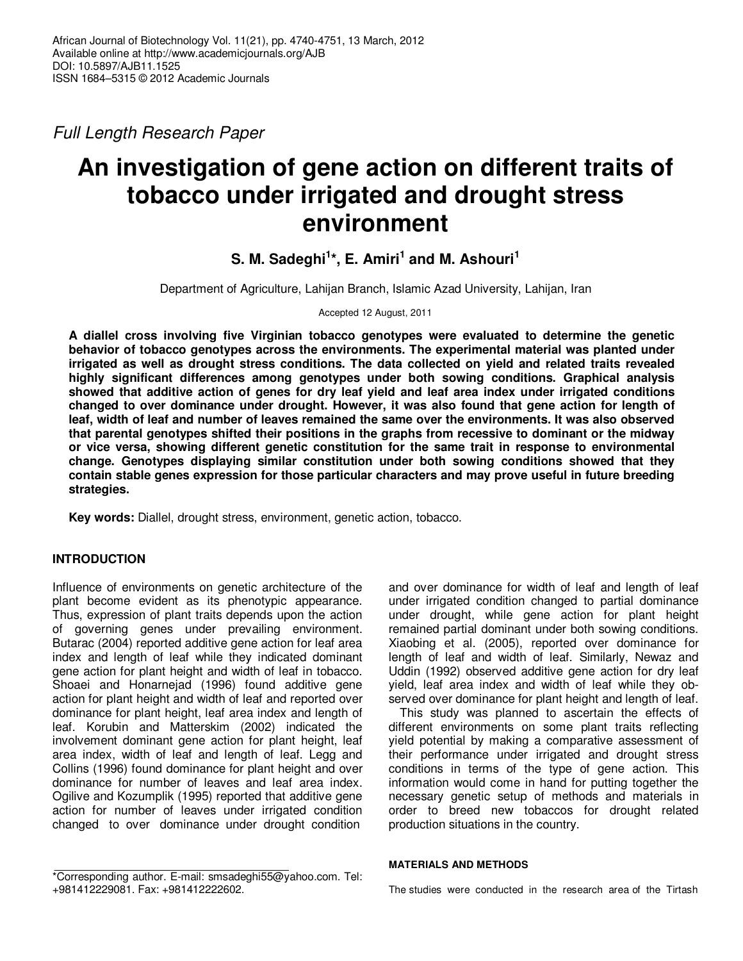Full Length Research Paper

# **An investigation of gene action on different traits of tobacco under irrigated and drought stress environment**

**S. M. Sadeghi<sup>1</sup> \*, E. Amiri<sup>1</sup> and M. Ashouri<sup>1</sup>**

Department of Agriculture, Lahijan Branch, Islamic Azad University, Lahijan, Iran

Accepted 12 August, 2011

**A diallel cross involving five Virginian tobacco genotypes were evaluated to determine the genetic behavior of tobacco genotypes across the environments. The experimental material was planted under irrigated as well as drought stress conditions. The data collected on yield and related traits revealed highly significant differences among genotypes under both sowing conditions. Graphical analysis showed that additive action of genes for dry leaf yield and leaf area index under irrigated conditions changed to over dominance under drought. However, it was also found that gene action for length of leaf, width of leaf and number of leaves remained the same over the environments. It was also observed that parental genotypes shifted their positions in the graphs from recessive to dominant or the midway or vice versa, showing different genetic constitution for the same trait in response to environmental change. Genotypes displaying similar constitution under both sowing conditions showed that they contain stable genes expression for those particular characters and may prove useful in future breeding strategies.** 

**Key words:** Diallel, drought stress, environment, genetic action, tobacco.

# **INTRODUCTION**

Influence of environments on genetic architecture of the plant become evident as its phenotypic appearance. Thus, expression of plant traits depends upon the action of governing genes under prevailing environment. Butarac (2004) reported additive gene action for leaf area index and length of leaf while they indicated dominant gene action for plant height and width of leaf in tobacco. Shoaei and Honarnejad (1996) found additive gene action for plant height and width of leaf and reported over dominance for plant height, leaf area index and length of leaf. Korubin and Matterskim (2002) indicated the involvement dominant gene action for plant height, leaf area index, width of leaf and length of leaf. Legg and Collins (1996) found dominance for plant height and over dominance for number of leaves and leaf area index. Ogilive and Kozumplik (1995) reported that additive gene action for number of leaves under irrigated condition changed to over dominance under drought condition

\*Corresponding author. E-mail: smsadeghi55@yahoo.com. Tel: +981412229081. Fax: +981412222602.

and over dominance for width of leaf and length of leaf under irrigated condition changed to partial dominance under drought, while gene action for plant height remained partial dominant under both sowing conditions. Xiaobing et al. (2005), reported over dominance for length of leaf and width of leaf. Similarly, Newaz and Uddin (1992) observed additive gene action for dry leaf yield, leaf area index and width of leaf while they observed over dominance for plant height and length of leaf.

This study was planned to ascertain the effects of different environments on some plant traits reflecting yield potential by making a comparative assessment of their performance under irrigated and drought stress conditions in terms of the type of gene action. This information would come in hand for putting together the necessary genetic setup of methods and materials in order to breed new tobaccos for drought related production situations in the country.

#### **MATERIALS AND METHODS**

The studies were conducted in the research area of the Tirtash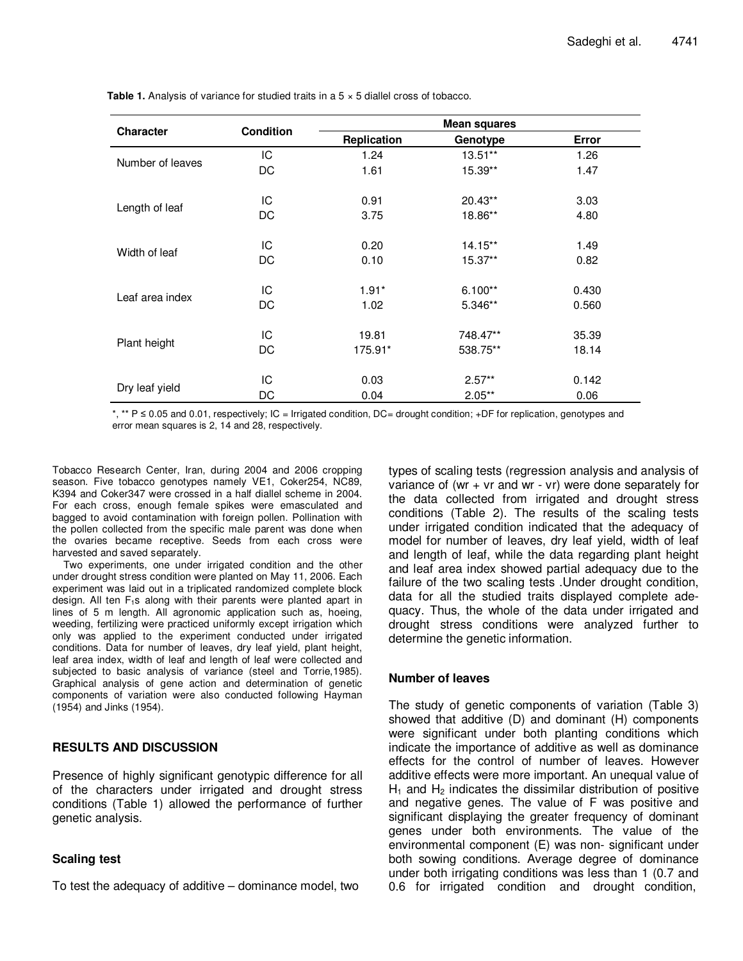|                  |                  | <b>Mean squares</b> |                                                                                                       |       |  |  |  |
|------------------|------------------|---------------------|-------------------------------------------------------------------------------------------------------|-------|--|--|--|
| <b>Character</b> | <b>Condition</b> | Replication         | Genotype                                                                                              | Error |  |  |  |
| Number of leaves | IC               | 1.24                | 13.51**                                                                                               | 1.26  |  |  |  |
|                  | DC               | 1.61                | 15.39**<br>20.43**<br>18.86**<br>14.15**<br>$15.37**$<br>$6.100**$<br>5.346**<br>748.47**<br>538.75** | 1.47  |  |  |  |
|                  | IC               | 0.91                |                                                                                                       | 3.03  |  |  |  |
| Length of leaf   | DC               | 3.75                |                                                                                                       | 4.80  |  |  |  |
|                  | IC               | 0.20                |                                                                                                       | 1.49  |  |  |  |
| Width of leaf    | DC               | 0.10                |                                                                                                       | 0.82  |  |  |  |
|                  | IC               | $1.91*$             |                                                                                                       | 0.430 |  |  |  |
| Leaf area index  | DC               | 1.02                |                                                                                                       | 0.560 |  |  |  |
|                  | IC               | 19.81               |                                                                                                       | 35.39 |  |  |  |
| Plant height     | DC               | 175.91*             |                                                                                                       | 18.14 |  |  |  |
|                  | IС               | 0.03                | $2.57**$                                                                                              | 0.142 |  |  |  |
| Dry leaf yield   | DC               | 0.04                | $2.05**$                                                                                              | 0.06  |  |  |  |

**Table 1.** Analysis of variance for studied traits in a 5  $\times$  5 diallel cross of tobacco.

\*, \*\* P ≤ 0.05 and 0.01, respectively; IC = Irrigated condition, DC= drought condition; +DF for replication, genotypes and error mean squares is 2, 14 and 28, respectively.

Tobacco Research Center, Iran, during 2004 and 2006 cropping season. Five tobacco genotypes namely VE1, Coker254, NC89, K394 and Coker347 were crossed in a half diallel scheme in 2004. For each cross, enough female spikes were emasculated and bagged to avoid contamination with foreign pollen. Pollination with the pollen collected from the specific male parent was done when the ovaries became receptive. Seeds from each cross were harvested and saved separately.

Two experiments, one under irrigated condition and the other under drought stress condition were planted on May 11, 2006. Each experiment was laid out in a triplicated randomized complete block design. All ten  $F_1$ s along with their parents were planted apart in lines of 5 m length. All agronomic application such as, hoeing, weeding, fertilizing were practiced uniformly except irrigation which only was applied to the experiment conducted under irrigated conditions. Data for number of leaves, dry leaf yield, plant height, leaf area index, width of leaf and length of leaf were collected and subjected to basic analysis of variance (steel and Torrie,1985). Graphical analysis of gene action and determination of genetic components of variation were also conducted following Hayman (1954) and Jinks (1954).

# **RESULTS AND DISCUSSION**

Presence of highly significant genotypic difference for all of the characters under irrigated and drought stress conditions (Table 1) allowed the performance of further genetic analysis.

## **Scaling test**

To test the adequacy of additive – dominance model, two

types of scaling tests (regression analysis and analysis of variance of (wr  $+$  vr and wr  $-$  vr) were done separately for the data collected from irrigated and drought stress conditions (Table 2). The results of the scaling tests under irrigated condition indicated that the adequacy of model for number of leaves, dry leaf yield, width of leaf and length of leaf, while the data regarding plant height and leaf area index showed partial adequacy due to the failure of the two scaling tests .Under drought condition, data for all the studied traits displayed complete adequacy. Thus, the whole of the data under irrigated and drought stress conditions were analyzed further to determine the genetic information.

## **Number of leaves**

The study of genetic components of variation (Table 3) showed that additive (D) and dominant (H) components were significant under both planting conditions which indicate the importance of additive as well as dominance effects for the control of number of leaves. However additive effects were more important. An unequal value of  $H_1$  and  $H_2$  indicates the dissimilar distribution of positive and negative genes. The value of F was positive and significant displaying the greater frequency of dominant genes under both environments. The value of the environmental component (E) was non- significant under both sowing conditions. Average degree of dominance under both irrigating conditions was less than 1 (0.7 and 0.6 for irrigated condition and drought condition,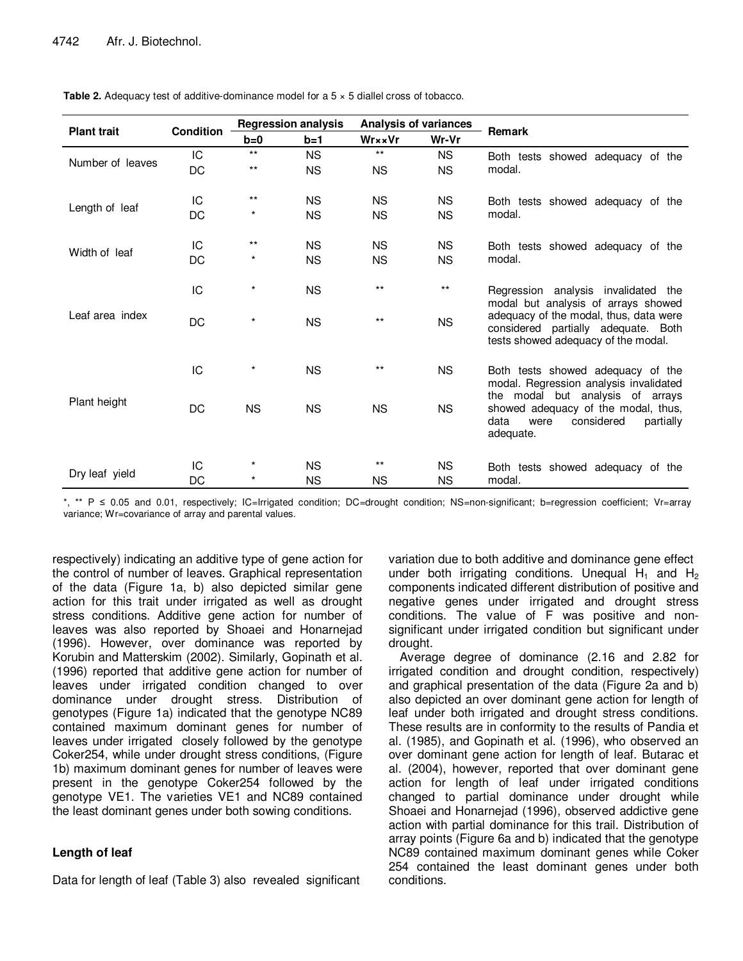|                    |                  | <b>Regression analysis</b> |                          | <b>Analysis of variances</b> |           |                                                                                                                                    |  |  |  |  |
|--------------------|------------------|----------------------------|--------------------------|------------------------------|-----------|------------------------------------------------------------------------------------------------------------------------------------|--|--|--|--|
| <b>Plant trait</b> | <b>Condition</b> | $b=0$                      | $b=1$<br>Wr××Vr<br>Wr-Vr |                              |           | <b>Remark</b>                                                                                                                      |  |  |  |  |
| Number of leaves   | IC               | $***$                      | <b>NS</b>                | $***$                        | <b>NS</b> | Both tests showed adequacy of the                                                                                                  |  |  |  |  |
|                    | DC               | $***$                      | <b>NS</b>                | <b>NS</b>                    | <b>NS</b> | modal.                                                                                                                             |  |  |  |  |
| Length of leaf     | IC               | $***$                      | <b>NS</b>                | <b>NS</b>                    | NS.       | Both tests showed adequacy of the                                                                                                  |  |  |  |  |
|                    | DC               | $^\star$                   | <b>NS</b>                | <b>NS</b>                    | <b>NS</b> | modal.                                                                                                                             |  |  |  |  |
| Width of leaf      | IС               | $***$                      | <b>NS</b>                | <b>NS</b>                    | <b>NS</b> | Both tests showed adequacy of the                                                                                                  |  |  |  |  |
|                    | DC               | $^\star$                   | <b>NS</b>                | <b>NS</b>                    | <b>NS</b> | modal.                                                                                                                             |  |  |  |  |
| Leaf area index    | IC               | $\star$                    | <b>NS</b>                | $***$                        | $***$     | Regression analysis invalidated the<br>modal but analysis of arrays showed                                                         |  |  |  |  |
|                    | DC               | $\star$                    | <b>NS</b>                | $***$                        | <b>NS</b> | adequacy of the modal, thus, data were<br>considered partially adequate. Both<br>tests showed adequacy of the modal.               |  |  |  |  |
| Plant height       | IC               | $^\star$                   | <b>NS</b>                | $***$                        | <b>NS</b> | Both tests showed adequacy of the<br>modal. Regression analysis invalidated                                                        |  |  |  |  |
|                    | <b>DC</b>        | <b>NS</b>                  | <b>NS</b>                | <b>NS</b>                    | <b>NS</b> | the modal<br>but analysis of arrays<br>showed adequacy of the modal, thus,<br>considered<br>data<br>partially<br>were<br>adequate. |  |  |  |  |
| Dry leaf yield     | IC               | $^\star$                   | <b>NS</b>                | $***$                        | <b>NS</b> | Both tests showed adequacy of the                                                                                                  |  |  |  |  |
|                    | DC               | $^\star$                   | <b>NS</b>                | <b>NS</b>                    | <b>NS</b> | modal.                                                                                                                             |  |  |  |  |

**Table 2.** Adequacy test of additive-dominance model for a 5  $\times$  5 diallel cross of tobacco.

\*, \*\* P ≤ 0.05 and 0.01, respectively; IC=Irrigated condition; DC=drought condition; NS=non-significant; b=regression coefficient; Vr=array variance; Wr=covariance of array and parental values.

respectively) indicating an additive type of gene action for the control of number of leaves. Graphical representation of the data (Figure 1a, b) also depicted similar gene action for this trait under irrigated as well as drought stress conditions. Additive gene action for number of leaves was also reported by Shoaei and Honarnejad (1996). However, over dominance was reported by Korubin and Matterskim (2002). Similarly, Gopinath et al. (1996) reported that additive gene action for number of leaves under irrigated condition changed to over dominance under drought stress. Distribution of genotypes (Figure 1a) indicated that the genotype NC89 contained maximum dominant genes for number of leaves under irrigated closely followed by the genotype Coker254, while under drought stress conditions, (Figure 1b) maximum dominant genes for number of leaves were present in the genotype Coker254 followed by the genotype VE1. The varieties VE1 and NC89 contained the least dominant genes under both sowing conditions.

# **Length of leaf**

Data for length of leaf (Table 3) also revealed significant

variation due to both additive and dominance gene effect under both irrigating conditions. Unequal  $H_1$  and  $H_2$ components indicated different distribution of positive and negative genes under irrigated and drought stress conditions. The value of F was positive and nonsignificant under irrigated condition but significant under drought.

Average degree of dominance (2.16 and 2.82 for irrigated condition and drought condition, respectively) and graphical presentation of the data (Figure 2a and b) also depicted an over dominant gene action for length of leaf under both irrigated and drought stress conditions. These results are in conformity to the results of Pandia et al. (1985), and Gopinath et al. (1996), who observed an over dominant gene action for length of leaf. Butarac et al. (2004), however, reported that over dominant gene action for length of leaf under irrigated conditions changed to partial dominance under drought while Shoaei and Honarnejad (1996), observed addictive gene action with partial dominance for this trail. Distribution of array points (Figure 6a and b) indicated that the genotype NC89 contained maximum dominant genes while Coker 254 contained the least dominant genes under both conditions.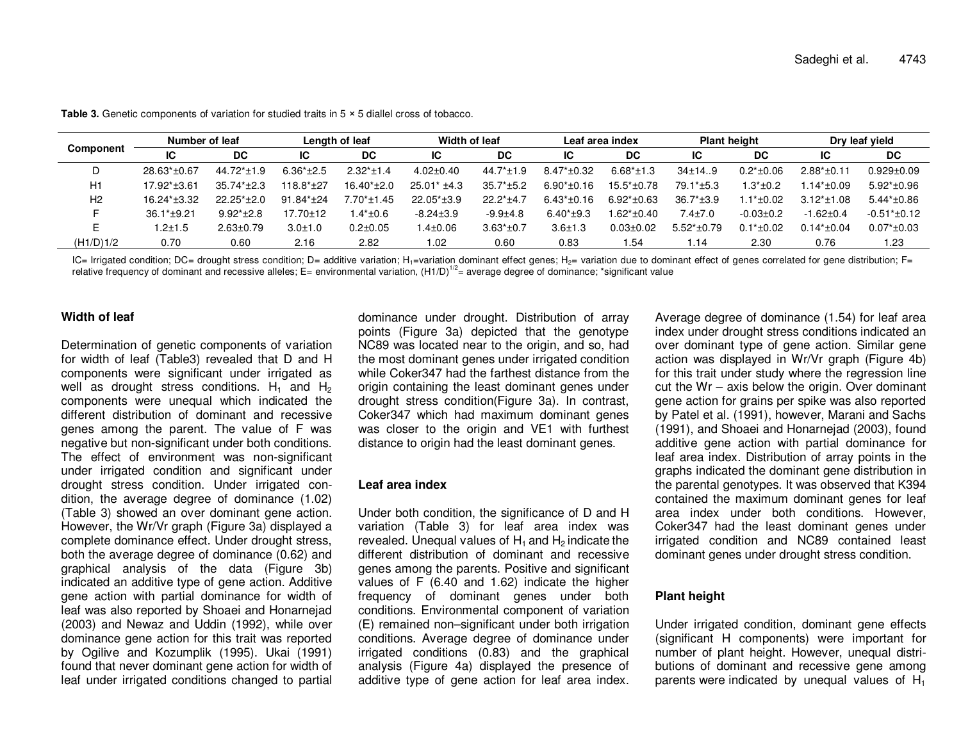| Component      | Number of leaf |                 |                | Length of leaf |                  | Width of leaf   |                | Leaf area index  |                  | <b>Plant height</b> |                  | Dry leaf yield    |  |
|----------------|----------------|-----------------|----------------|----------------|------------------|-----------------|----------------|------------------|------------------|---------------------|------------------|-------------------|--|
|                | IС             | DC              | IС             | DC             | IС               | DC              | ΙC             | DC               | ΙC               | DC                  | IС               | DC                |  |
|                | $28.63*+0.67$  | $44.72*+1.9$    | $6.36*+2.5$    | $2.32*+1.4$    | $4.02 \pm 0.40$  | $44.7* \pm 1.9$ | $8.47* + 0.32$ | $6.68* \pm 1.3$  | $34 \pm 14.9$    | $0.2*+0.06$         | $2.88*+0.11$     | $0.929 + 0.09$    |  |
| H1             | 17.92*±3.61    | $35.74*+2.3$    | 118.8*±27      | $16.40*+2.0$   | $25.01* \pm 4.3$ | $35.7*+5.2$     | $6.90*+0.16$   | $15.5* \pm 0.78$ | $79.1*±5.3$      | $1.3* \pm 0.2$      | 1.14*±0.09       | $5.92*+0.96$      |  |
| H <sub>2</sub> | $16.24*+3.32$  | $22.25*+2.0$    | $91.84*+24$    | $7.70*+1.45$   | $22.05* \pm 3.9$ | $22.2*+4.7$     | $6.43*+0.16$   | $6.92*+0.63$     | $36.7* \pm 3.9$  | $.1*+0.02$          | $3.12* \pm 1.08$ | $5.44*+0.86$      |  |
|                | $36.1*+9.21$   | $9.92*+2.8$     | $17.70 \pm 12$ | $.4* \pm 0.6$  | $-8.24 \pm 3.9$  | $-9.9{\pm}4.8$  | $6.40*+9.3$    | $.62*+0.40$      | $7.4 \pm 7.0$    | $-0.03 \pm 0.2$     | $-1.62 \pm 0.4$  | $-0.51* \pm 0.12$ |  |
|                | 1.2±1.5        | $2.63 \pm 0.79$ | $3.0 + 1.0$    | $0.2 \pm 0.05$ | $1.4 \pm 0.06$   | $3.63*+0.7$     | $3.6 + 1.3$    | $0.03 \pm 0.02$  | $5.52*+0.79$     | $0.1*+0.02$         | $0.14*+0.04$     | $0.07*+0.03$      |  |
| (H1/D)1/2      | 0.70           | 0.60            | 2.16           | 2.82           | 1.02             | 0.60            | 0.83           | .54              | $\overline{.}14$ | 2.30                | 0.76             | 1.23              |  |

**Table 3.** Genetic components of variation for studied traits in 5 <sup>×</sup> 5 diallel cross of tobacco.

IC= Irrigated condition; DC= drought stress condition; D= additive variation; H<sub>1</sub>=variation dominant effect genes; H<sub>2</sub>= variation due to dominant effect of genes correlated for gene distribution; F= relative frequency of dominant and recessive alleles; E= environmental variation,  $(H1/D)^{1/2}$  average degree of dominance; \*significant value

#### **Width of leaf**

Determination of genetic components of variation for width of leaf (Table3) revealed that D and H components were significant under irrigated as well as drought stress conditions.  $H_1$  and  $H_2$  components were unequal which indicated the different distribution of dominant and recessive genes among the parent. The value of F was negative but non-significant under both conditions. The effect of environment was non-significant under irrigated condition and significant under drought stress condition. Under irrigated condition, the average degree of dominance (1.02) (Table 3) showed an over dominant gene action. However, the Wr/Vr graph (Figure 3a) displayed a complete dominance effect. Under drought stress, both the average degree of dominance (0.62) and graphical analysis of the data (Figure 3b) indicated an additive type of gene action. Additive gene action with partial dominance for width of leaf was also reported by Shoaei and Honarnejad (2003) and Newaz and Uddin (1992), while over dominance gene action for this trait was reported by Ogilive and Kozumplik (1995). Ukai (1991) found that never dominant gene action for width of leaf under irrigated conditions changed to partial dominance under drought. Distribution of array points (Figure 3a) depicted that the genotype NC89 was located near to the origin, and so, had the most dominant genes under irrigated condition while Coker347 had the farthest distance from the origin containing the least dominant genes under drought stress condition(Figure 3a). In contrast, Coker347 which had maximum dominant genes was closer to the origin and VE1 with furthest distance to origin had the least dominant genes.

#### **Leaf area index**

Under both condition, the significance of D and H variation (Table 3) for leaf area index was revealed. Unequal values of  $H_1$  and  $H_2$  indicate the different distribution of dominant and recessive genes among the parents. Positive and significant values of F (6.40 and 1.62) indicate the higher frequency of dominant genes under both conditions. Environmental component of variation (E) remained non–significant under both irrigation conditions. Average degree of dominance under irrigated conditions (0.83) and the graphical analysis (Figure 4a) displayed the presence of additive type of gene action for leaf area index. Average degree of dominance (1.54) for leaf area index under drought stress conditions indicated an over dominant type of gene action. Similar gene action was displayed in Wr/Vr graph (Figure 4b) for this trait under study where the regression line cut the Wr – axis below the origin. Over dominant gene action for grains per spike was also reported by Patel et al. (1991), however, Marani and Sachs (1991), and Shoaei and Honarnejad (2003), found additive gene action with partial dominance for leaf area index. Distribution of array points in the graphs indicated the dominant gene distribution in the parental genotypes. It was observed that K394 contained the maximum dominant genes for leaf area index under both conditions. However, Coker347 had the least dominant genes under irrigated condition and NC89 contained least dominant genes under drought stress condition.

#### **Plant height**

Under irrigated condition, dominant gene effects (significant H components) were important for number of plant height. However, unequal distributions of dominant and recessive gene among parents were indicated by unequal values of  $H_1$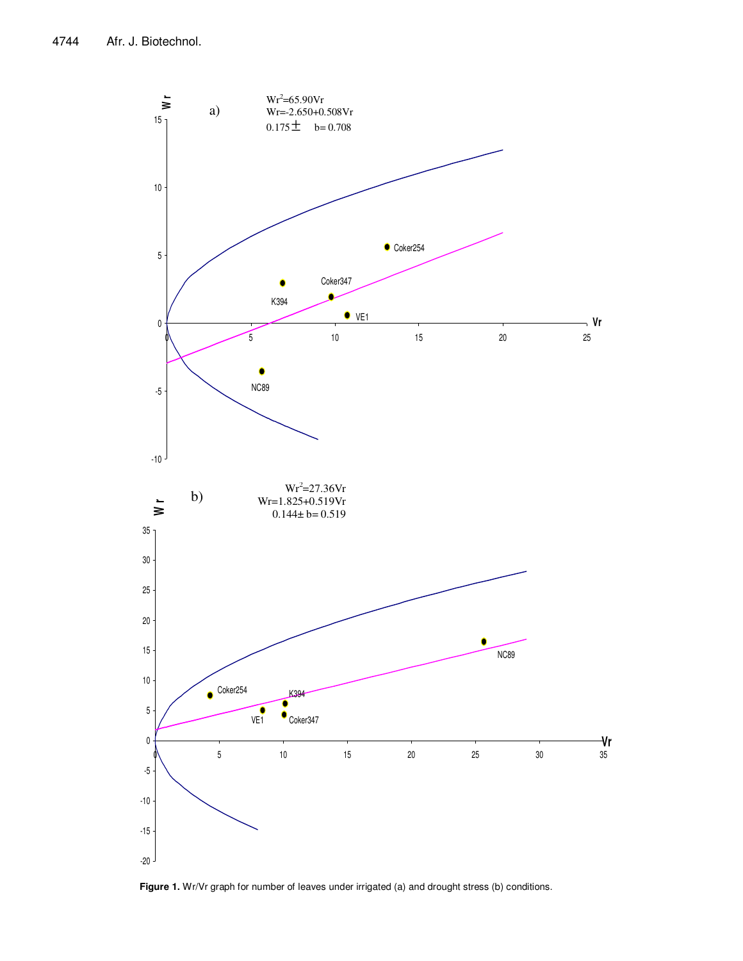

Figure 1. Wr/Vr graph for number of leaves under irrigated (a) and drought stress (b) conditions.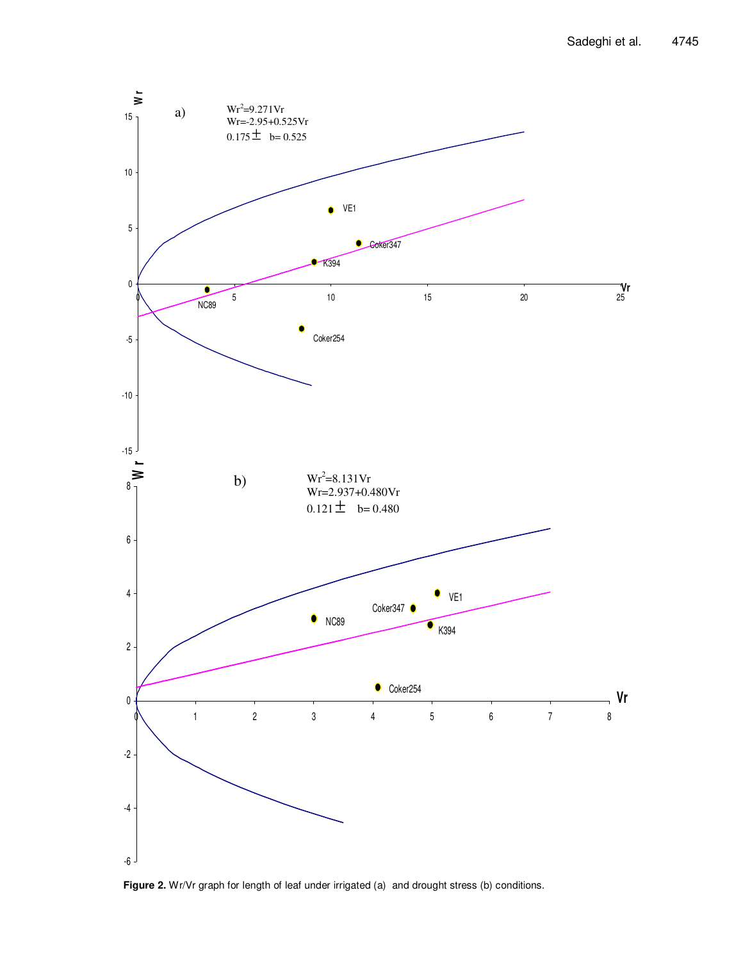

Figure 2. Wr/Vr graph for length of leaf under irrigated (a) and drought stress (b) conditions.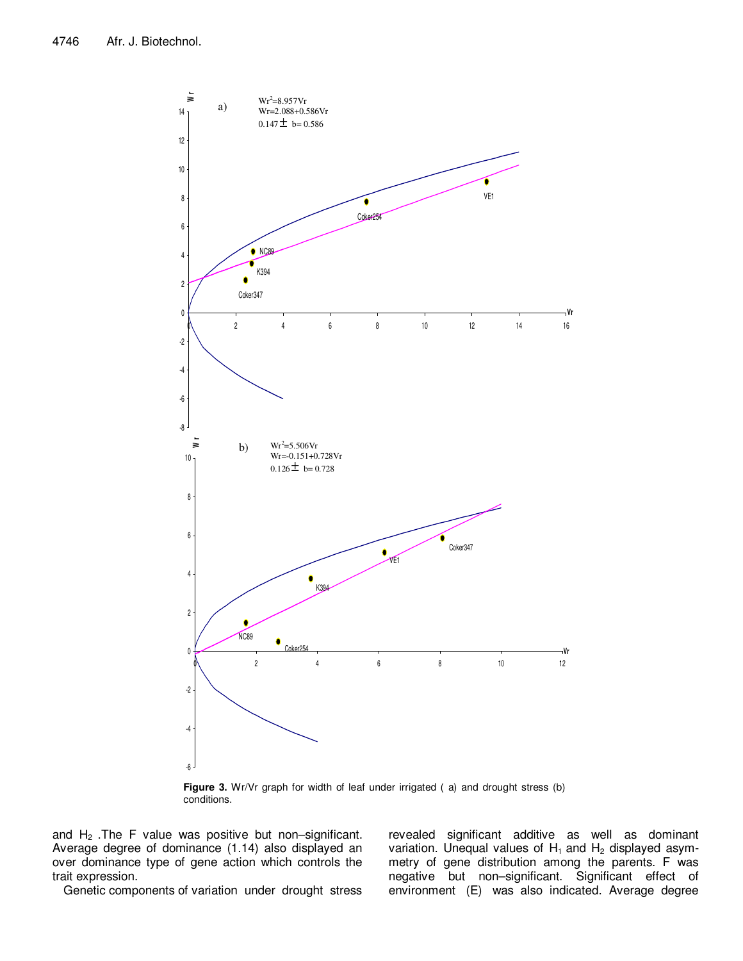

**Figure 3.** Wr/Vr graph for width of leaf under irrigated (a) and drought stress (b) conditions.

and  $H_2$ . The F value was positive but non–significant. Average degree of dominance (1.14) also displayed an over dominance type of gene action which controls the trait expression.

Genetic components of variation under drought stress

revealed significant additive as well as dominant variation. Unequal values of  $H_1$  and  $H_2$  displayed asymmetry of gene distribution among the parents. F was negative but non–significant. Significant effect of environment (E) was also indicated. Average degree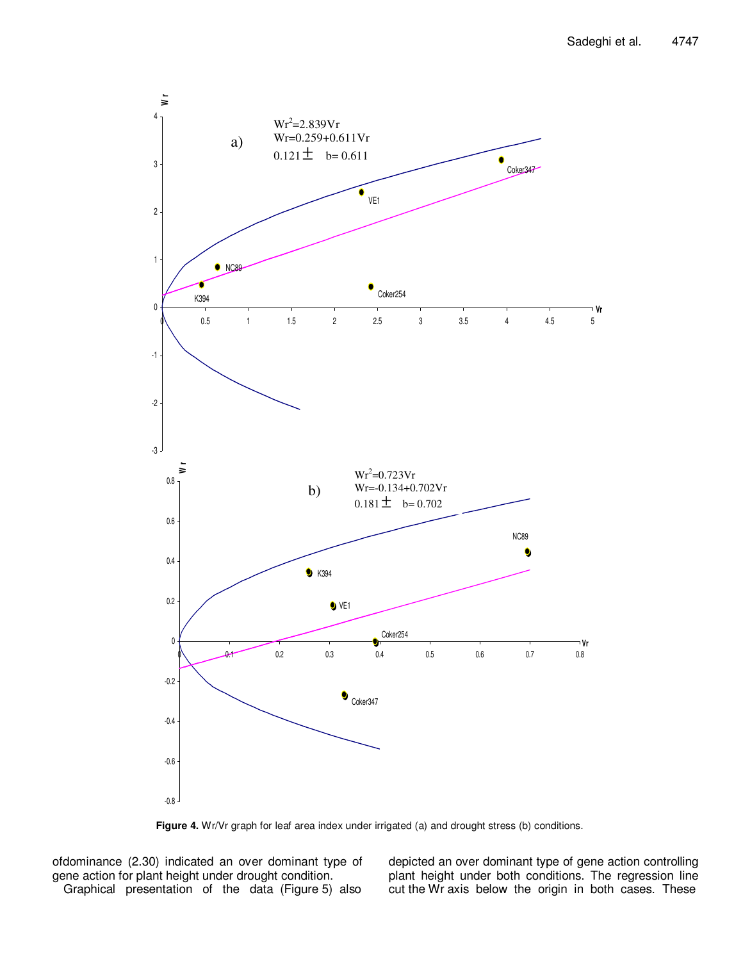

Figure 4. Wr/Vr graph for leaf area index under irrigated (a) and drought stress (b) conditions.

ofdominance (2.30) indicated an over dominant type of gene action for plant height under drought condition. Graphical presentation of the data (Figure 5) also depicted an over dominant type of gene action controlling plant height under both conditions. The regression line cut the Wr axis below the origin in both cases. These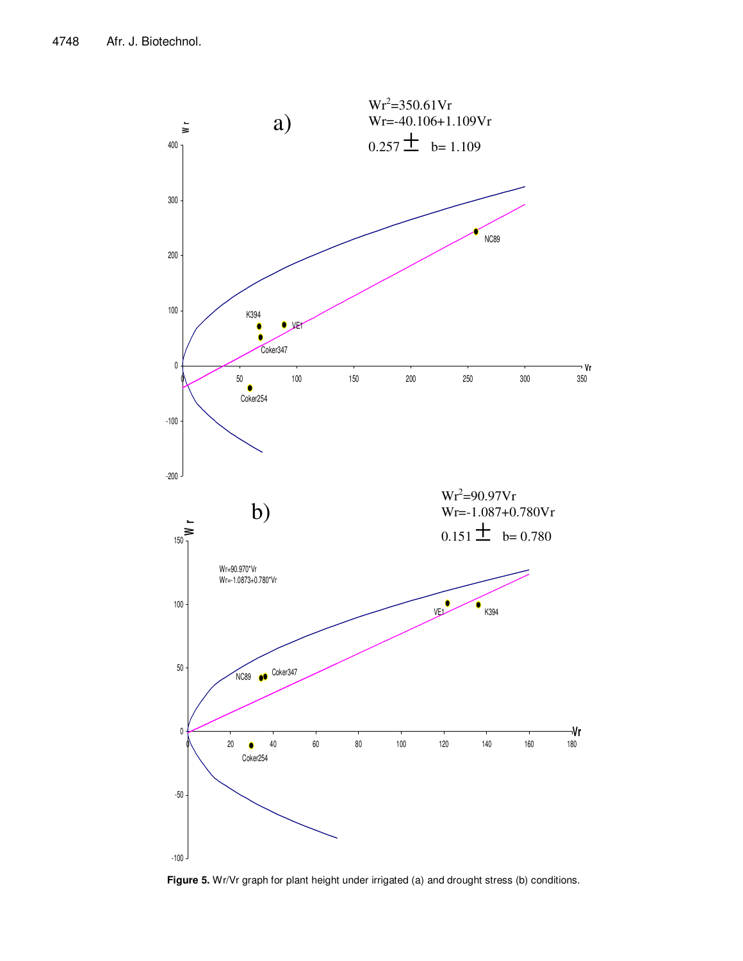

**Figure 5.** Wr/Vr graph for plant height under irrigated (a) and drought stress (b) conditions.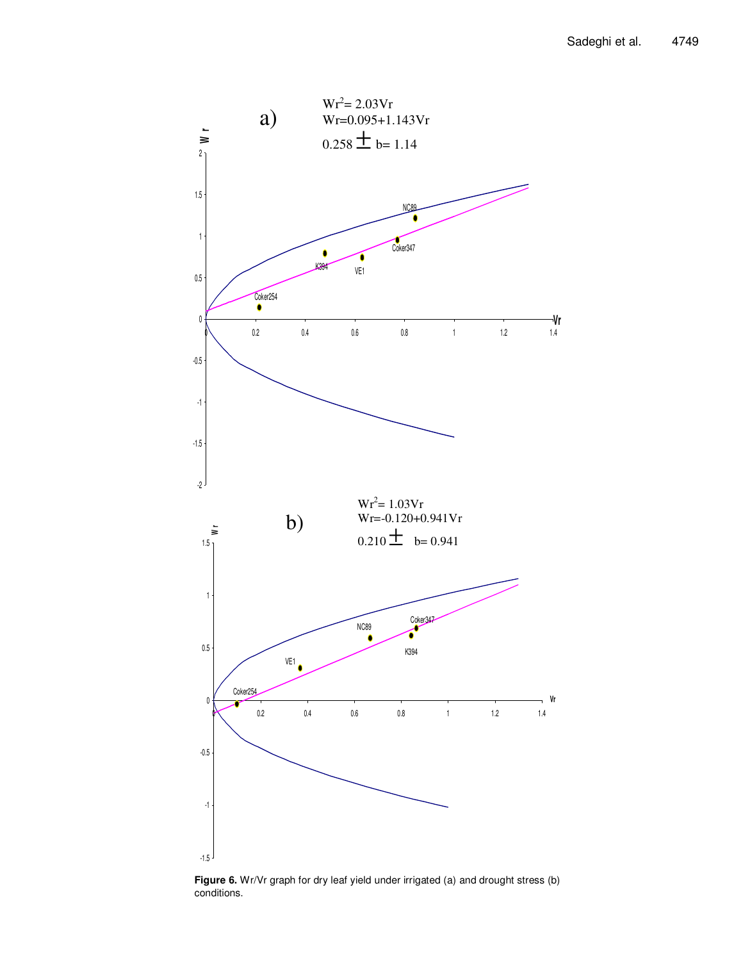

**Figure 6.** Wr/Vr graph for dry leaf yield under irrigated (a) and drought stress (b) conditions.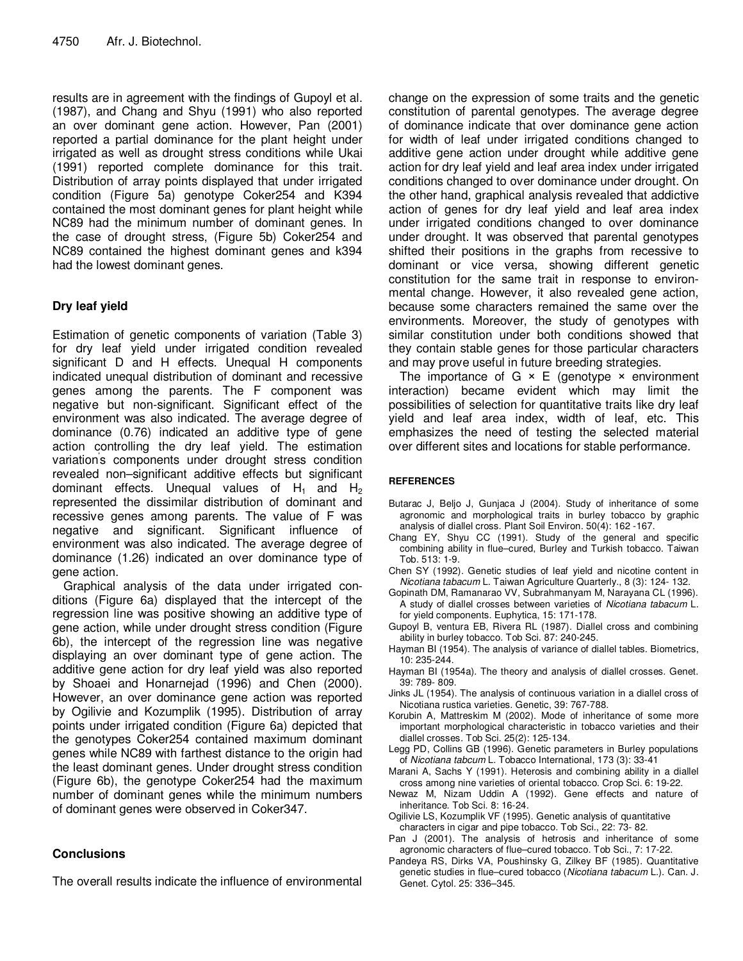results are in agreement with the findings of Gupoyl et al. (1987), and Chang and Shyu (1991) who also reported an over dominant gene action. However, Pan (2001) reported a partial dominance for the plant height under irrigated as well as drought stress conditions while Ukai (1991) reported complete dominance for this trait. Distribution of array points displayed that under irrigated condition (Figure 5a) genotype Coker254 and K394 contained the most dominant genes for plant height while NC89 had the minimum number of dominant genes. In the case of drought stress, (Figure 5b) Coker254 and NC89 contained the highest dominant genes and k394 had the lowest dominant genes.

# **Dry leaf yield**

Estimation of genetic components of variation (Table 3) for dry leaf yield under irrigated condition revealed significant D and H effects. Unequal H components indicated unequal distribution of dominant and recessive genes among the parents. The F component was negative but non-significant. Significant effect of the environment was also indicated. The average degree of dominance (0.76) indicated an additive type of gene action controlling the dry leaf yield. The estimation variation' s components under drought stress condition revealed non–significant additive effects but significant dominant effects. Unequal values of  $H_1$  and  $H_2$ represented the dissimilar distribution of dominant and recessive genes among parents. The value of F was negative and significant. Significant influence of environment was also indicated. The average degree of dominance (1.26) indicated an over dominance type of gene action.

Graphical analysis of the data under irrigated conditions (Figure 6a) displayed that the intercept of the regression line was positive showing an additive type of gene action, while under drought stress condition (Figure 6b), the intercept of the regression line was negative displaying an over dominant type of gene action. The additive gene action for dry leaf yield was also reported by Shoaei and Honarnejad (1996) and Chen (2000). However, an over dominance gene action was reported by Ogilivie and Kozumplik (1995). Distribution of array points under irrigated condition (Figure 6a) depicted that the genotypes Coker254 contained maximum dominant genes while NC89 with farthest distance to the origin had the least dominant genes. Under drought stress condition (Figure 6b), the genotype Coker254 had the maximum number of dominant genes while the minimum numbers of dominant genes were observed in Coker347.

# **Conclusions**

The overall results indicate the influence of environmental

change on the expression of some traits and the genetic constitution of parental genotypes. The average degree of dominance indicate that over dominance gene action for width of leaf under irrigated conditions changed to additive gene action under drought while additive gene action for dry leaf yield and leaf area index under irrigated conditions changed to over dominance under drought. On the other hand, graphical analysis revealed that addictive action of genes for dry leaf yield and leaf area index under irrigated conditions changed to over dominance under drought. It was observed that parental genotypes shifted their positions in the graphs from recessive to dominant or vice versa, showing different genetic constitution for the same trait in response to environmental change. However, it also revealed gene action, because some characters remained the same over the environments. Moreover, the study of genotypes with similar constitution under both conditions showed that they contain stable genes for those particular characters and may prove useful in future breeding strategies.

The importance of  $G \times E$  (genotype  $\times$  environment interaction) became evident which may limit the possibilities of selection for quantitative traits like dry leaf yield and leaf area index, width of leaf, etc. This emphasizes the need of testing the selected material over different sites and locations for stable performance.

### **REFERENCES**

- Butarac J, Beljo J, Gunjaca J (2004). Study of inheritance of some agronomic and morphological traits in burley tobacco by graphic analysis of diallel cross. Plant Soil Environ. 50(4): 162 -167.
- Chang EY, Shyu CC (1991). Study of the general and specific combining ability in flue–cured, Burley and Turkish tobacco. Taiwan Tob. 513: 1-9.
- Chen SY (1992). Genetic studies of leaf yield and nicotine content in Nicotiana tabacum L. Taiwan Agriculture Quarterly., 8 (3): 124- 132.
- Gopinath DM, Ramanarao VV, Subrahmanyam M, Narayana CL (1996). A study of diallel crosses between varieties of Nicotiana tabacum L. for yield components. Euphytica, 15: 171-178.
- Gupoyl B, ventura EB, Rivera RL (1987). Diallel cross and combining ability in burley tobacco. Tob Sci. 87: 240-245.
- Hayman BI (1954). The analysis of variance of diallel tables. Biometrics, 10: 235-244.
- Hayman BI (1954a). The theory and analysis of diallel crosses. Genet. 39: 789- 809.
- Jinks JL (1954). The analysis of continuous variation in a diallel cross of Nicotiana rustica varieties. Genetic, 39: 767-788.
- Korubin A, Mattreskim M (2002). Mode of inheritance of some more important morphological characteristic in tobacco varieties and their diallel crosses. Tob Sci. 25(2): 125-134.
- Legg PD, Collins GB (1996). Genetic parameters in Burley populations of Nicotiana tabcum L. Tobacco International, 173 (3): 33-41
- Marani A, Sachs Y (1991). Heterosis and combining ability in a diallel cross among nine varieties of oriental tobacco. Crop Sci. 6: 19-22.
- Newaz M, Nizam Uddin A (1992). Gene effects and nature of inheritance. Tob Sci. 8: 16-24.
- Ogilivie LS, Kozumplik VF (1995). Genetic analysis of quantitative characters in cigar and pipe tobacco. Tob Sci., 22: 73- 82.
- Pan J (2001). The analysis of hetrosis and inheritance of some agronomic characters of flue–cured tobacco. Tob Sci., 7: 17-22.
- Pandeya RS, Dirks VA, Poushinsky G, Zilkey BF (1985). Quantitative genetic studies in flue–cured tobacco (Nicotiana tabacum L.). Can. J. Genet. Cytol. 25: 336–345.